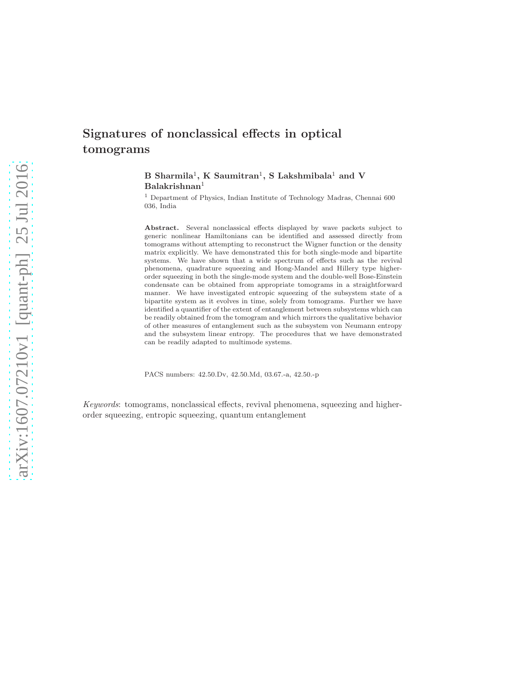# Signatures of nonclassical effects in optical tomograms

 $\, {\bf B} \,$  Sharmila $^1, \, {\bf K} \,$  Saumitran $^1, \, {\bf S} \,$  Lakshmibala $^1$  and  $\, {\bf V} \,$ Balakrishnan<sup>1</sup>

 $^{\rm 1}$  Department of Physics, Indian Institute of Technology Madras, Chennai $600$ 036, India

Abstract. Several nonclassical effects displayed by wave packets subject to generic nonlinear Hamiltonians can be identified and assessed directly from tomograms without attempting to reconstruct the Wigner function or the density matrix explicitly. We have demonstrated this for both single-mode and bipartite systems. We have shown that a wide spectrum of effects such as the revival phenomena, quadrature squeezing and Hong-Mandel and Hillery type higherorder squeezing in both the single-mode system and the double-well Bose-Einstein condensate can be obtained from appropriate tomograms in a straightforward manner. We have investigated entropic squeezing of the subsystem state of a bipartite system as it evolves in time, solely from tomograms. Further we have identified a quantifier of the extent of entanglement between subsystems which can be readily obtained from the tomogram and which mirrors the qualitative behavior of other measures of entanglement such as the subsystem von Neumann entropy and the subsystem linear entropy. The procedures that we have demonstrated can be readily adapted to multimode systems.

PACS numbers: 42.50.Dv, 42.50.Md, 03.67.-a, 42.50.-p

Keywords: tomograms, nonclassical effects, revival phenomena, squeezing and higherorder squeezing, entropic squeezing, quantum entanglement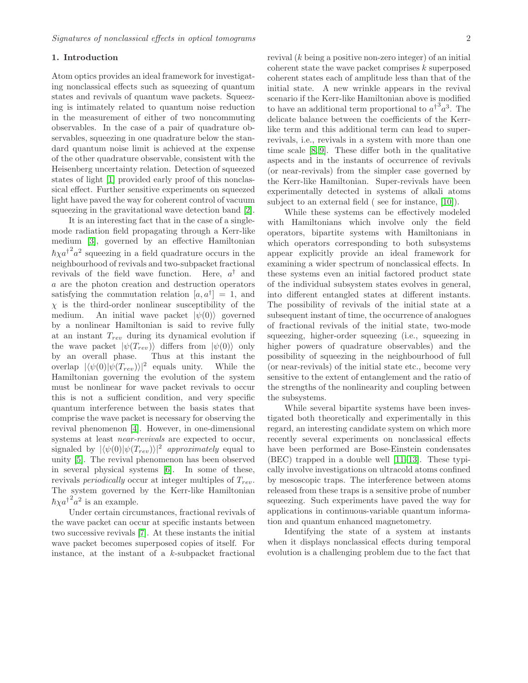#### 1. Introduction

Atom optics provides an ideal framework for investigating nonclassical effects such as squeezing of quantum states and revivals of quantum wave packets. Squeezing is intimately related to quantum noise reduction in the measurement of either of two noncommuting observables. In the case of a pair of quadrature observables, squeezing in one quadrature below the standard quantum noise limit is achieved at the expense of the other quadrature observable, consistent with the Heisenberg uncertainty relation. Detection of squeezed states of light [\[1\]](#page-15-0) provided early proof of this nonclassical effect. Further sensitive experiments on squeezed light have paved the way for coherent control of vacuum squeezing in the gravitational wave detection band [\[2\]](#page-15-1).

It is an interesting fact that in the case of a singlemode radiation field propagating through a Kerr-like medium [\[3\]](#page-15-2), governed by an effective Hamiltonian  $\hbar \chi a^{\dagger^2} a^2$  squeezing in a field quadrature occurs in the neighbourhood of revivals and two-subpacket fractional revivals of the field wave function. Here,  $a^{\dagger}$  and a are the photon creation and destruction operators satisfying the commutation relation  $[a, a^{\dagger}] = 1$ , and  $\chi$  is the third-order nonlinear susceptibility of the medium. An initial wave packet  $|\psi(0)\rangle$  governed by a nonlinear Hamiltonian is said to revive fully at an instant  $T_{rev}$  during its dynamical evolution if the wave packet  $|\psi(T_{rev})\rangle$  differs from  $|\psi(0)\rangle$  only by an overall phase. Thus at this instant the overlap  $|\langle \psi(0) | \psi(T_{rev}) \rangle|^2$  equals unity. While the Hamiltonian governing the evolution of the system must be nonlinear for wave packet revivals to occur this is not a sufficient condition, and very specific quantum interference between the basis states that comprise the wave packet is necessary for observing the revival phenomenon [\[4\]](#page-15-3). However, in one-dimensional systems at least near-revivals are expected to occur, signaled by  $|\langle \psi(0)|\psi(T_{rev})\rangle|^2$  approximately equal to unity [\[5\]](#page-15-4). The revival phenomenon has been observed in several physical systems [\[6\]](#page-15-5). In some of these, revivals *periodically* occur at integer multiples of  $T_{rev}$ . The system governed by the Kerr-like Hamiltonian  $\hbar \chi a^{\dagger^2} a^2$  is an example.

Under certain circumstances, fractional revivals of the wave packet can occur at specific instants between two successive revivals [\[7\]](#page-15-6). At these instants the initial wave packet becomes superposed copies of itself. For instance, at the instant of a k-subpacket fractional revival  $(k \text{ being a positive non-zero integer})$  of an initial coherent state the wave packet comprises k superposed coherent states each of amplitude less than that of the initial state. A new wrinkle appears in the revival scenario if the Kerr-like Hamiltonian above is modified to have an additional term proportional to  $a^{\dagger} a^3$ . The delicate balance between the coefficients of the Kerrlike term and this additional term can lead to superrevivals, i.e., revivals in a system with more than one time scale [\[8,](#page-15-7) [9\]](#page-15-8). These differ both in the qualitative aspects and in the instants of occurrence of revivals (or near-revivals) from the simpler case governed by the Kerr-like Hamiltonian. Super-revivals have been experimentally detected in systems of alkali atoms subject to an external field ( see for instance, [\[10\]](#page-15-9)).

While these systems can be effectively modeled with Hamiltonians which involve only the field operators, bipartite systems with Hamiltonians in which operators corresponding to both subsystems appear explicitly provide an ideal framework for examining a wider spectrum of nonclassical effects. In these systems even an initial factored product state of the individual subsystem states evolves in general, into different entangled states at different instants. The possibility of revivals of the initial state at a subsequent instant of time, the occurrence of analogues of fractional revivals of the initial state, two-mode squeezing, higher-order squeezing (i.e., squeezing in higher powers of quadrature observables) and the possibility of squeezing in the neighbourhood of full (or near-revivals) of the initial state etc., become very sensitive to the extent of entanglement and the ratio of the strengths of the nonlinearity and coupling between the subsystems.

While several bipartite systems have been investigated both theoretically and experimentally in this regard, an interesting candidate system on which more recently several experiments on nonclassical effects have been performed are Bose-Einstein condensates (BEC) trapped in a double well [\[11–](#page-15-10)[13\]](#page-15-11). These typically involve investigations on ultracold atoms confined by mesoscopic traps. The interference between atoms released from these traps is a sensitive probe of number squeezing. Such experiments have paved the way for applications in continuous-variable quantum information and quantum enhanced magnetometry.

Identifying the state of a system at instants when it displays nonclassical effects during temporal evolution is a challenging problem due to the fact that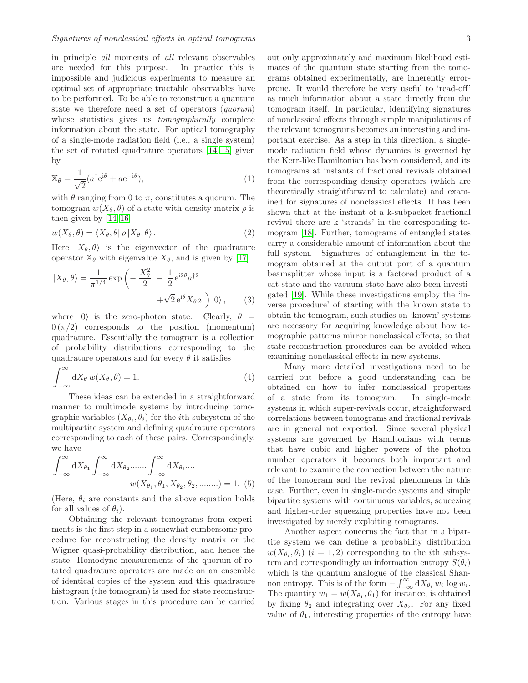in principle all moments of all relevant observables are needed for this purpose. In practice this is impossible and judicious experiments to measure an optimal set of appropriate tractable observables have to be performed. To be able to reconstruct a quantum state we therefore need a set of operators (quorum) whose statistics gives us *tomographically* complete information about the state. For optical tomography of a single-mode radiation field (i.e., a single system) the set of rotated quadrature operators [\[14,](#page-15-12) [15\]](#page-15-13) given by

$$
\mathbb{X}_{\theta} = \frac{1}{\sqrt{2}} (a^{\dagger} e^{i\theta} + a e^{-i\theta}), \tag{1}
$$

with  $\theta$  ranging from 0 to  $\pi$ , constitutes a quorum. The tomogram  $w(X_{\theta}, \theta)$  of a state with density matrix  $\rho$  is then given by [\[14,](#page-15-12) [16\]](#page-15-14)

<span id="page-2-0"></span>
$$
w(X_{\theta}, \theta) = \langle X_{\theta}, \theta | \rho | X_{\theta}, \theta \rangle. \tag{2}
$$

Here  $|X_{\theta}, \theta \rangle$  is the eigenvector of the quadrature operator  $\mathbb{X}_{\theta}$  with eigenvalue  $X_{\theta}$ , and is given by [\[17\]](#page-15-15)

$$
|X_{\theta}, \theta\rangle = \frac{1}{\pi^{1/4}} \exp\left(-\frac{X_{\theta}^2}{2} - \frac{1}{2} e^{i2\theta} a^{\dagger 2} + \sqrt{2} e^{i\theta} X_{\theta} a^{\dagger}\right) |0\rangle, \qquad (3)
$$

where  $|0\rangle$  is the zero-photon state. Clearly,  $\theta =$  $0 (\pi/2)$  corresponds to the position (momentum) quadrature. Essentially the tomogram is a collection of probability distributions corresponding to the quadrature operators and for every  $\theta$  it satisfies

$$
\int_{-\infty}^{\infty} dX_{\theta} w(X_{\theta}, \theta) = 1.
$$
 (4)

These ideas can be extended in a straightforward manner to multimode systems by introducing tomographic variables  $(X_{\theta_i}, \theta_i)$  for the *i*th subsystem of the multipartite system and defining quadrature operators corresponding to each of these pairs. Correspondingly, we have

$$
\int_{-\infty}^{\infty} dX_{\theta_1} \int_{-\infty}^{\infty} dX_{\theta_2} \dots \dots \int_{-\infty}^{\infty} dX_{\theta_i} \dots
$$

$$
w(X_{\theta_1}, \theta_1, X_{\theta_2}, \theta_2, \dots \dots) = 1.
$$
 (5)

(Here,  $\theta_i$  are constants and the above equation holds for all values of  $\theta_i$ ).

Obtaining the relevant tomograms from experiments is the first step in a somewhat cumbersome procedure for reconstructing the density matrix or the Wigner quasi-probability distribution, and hence the state. Homodyne measurements of the quorum of rotated quadrature operators are made on an ensemble of identical copies of the system and this quadrature histogram (the tomogram) is used for state reconstruction. Various stages in this procedure can be carried out only approximately and maximum likelihood estimates of the quantum state starting from the tomograms obtained experimentally, are inherently errorprone. It would therefore be very useful to 'read-off' as much information about a state directly from the tomogram itself. In particular, identifying signatures of nonclassical effects through simple manipulations of the relevant tomograms becomes an interesting and important exercise. As a step in this direction, a singlemode radiation field whose dynamics is governed by the Kerr-like Hamiltonian has been considered, and its tomograms at instants of fractional revivals obtained from the corresponding density operators (which are theoretically straightforward to calculate) and examined for signatures of nonclassical effects. It has been shown that at the instant of a k-subpacket fractional revival there are k 'strands' in the corresponding tomogram [\[18\]](#page-15-16). Further, tomograms of entangled states carry a considerable amount of information about the full system. Signatures of entanglement in the tomogram obtained at the output port of a quantum beamsplitter whose input is a factored product of a cat state and the vacuum state have also been investigated [\[19\]](#page-15-17). While these investigations employ the 'inverse procedure' of starting with the known state to obtain the tomogram, such studies on 'known' systems are necessary for acquiring knowledge about how tomographic patterns mirror nonclassical effects, so that state-reconstruction procedures can be avoided when examining nonclassical effects in new systems.

Many more detailed investigations need to be carried out before a good understanding can be obtained on how to infer nonclassical properties of a state from its tomogram. In single-mode systems in which super-revivals occur, straightforward correlations between tomograms and fractional revivals are in general not expected. Since several physical systems are governed by Hamiltonians with terms that have cubic and higher powers of the photon number operators it becomes both important and relevant to examine the connection between the nature of the tomogram and the revival phenomena in this case. Further, even in single-mode systems and simple bipartite systems with continuous variables, squeezing and higher-order squeezing properties have not been investigated by merely exploiting tomograms.

Another aspect concerns the fact that in a bipartite system we can define a probability distribution  $w(X_{\theta_i}, \theta_i)$   $(i = 1, 2)$  corresponding to the *i*th subsystem and correspondingly an information entropy  $S(\theta_i)$ which is the quantum analogue of the classical Shannon entropy. This is of the form  $-\int_{-\infty}^{\infty} dX_{\theta_i} w_i \log w_i$ . The quantity  $w_1 = w(X_{\theta_1}, \theta_1)$  for instance, is obtained by fixing  $\theta_2$  and integrating over  $X_{\theta_2}$ . For any fixed value of  $\theta_1$ , interesting properties of the entropy have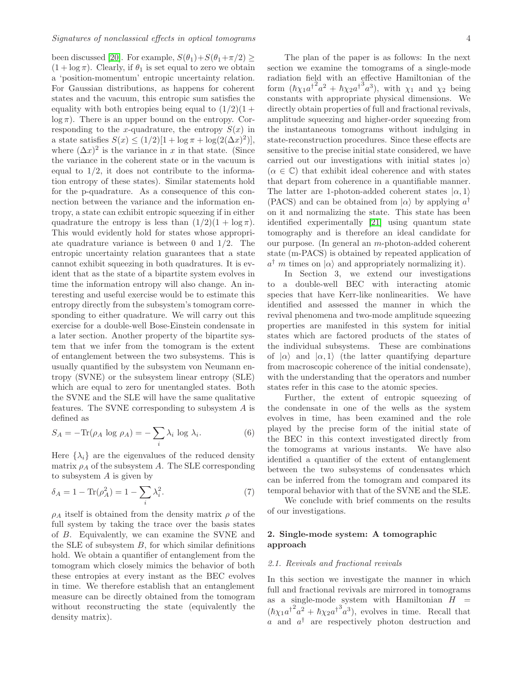been discussed [\[20\]](#page-15-18). For example,  $S(\theta_1)+S(\theta_1+\pi/2) \geq$  $(1 + \log \pi)$ . Clearly, if  $\theta_1$  is set equal to zero we obtain a 'position-momentum' entropic uncertainty relation. For Gaussian distributions, as happens for coherent states and the vacuum, this entropic sum satisfies the equality with both entropies being equal to  $(1/2)(1 +$  $\log \pi$ ). There is an upper bound on the entropy. Corresponding to the x-quadrature, the entropy  $S(x)$  in a state satisfies  $S(x) \le (1/2)[1 + \log \pi + \log(2(\Delta x)^2)],$ where  $(\Delta x)^2$  is the variance in x in that state. (Since the variance in the coherent state or in the vacuum is equal to  $1/2$ , it does not contribute to the information entropy of these states). Similar statements hold for the p-quadrature. As a consequence of this connection between the variance and the information entropy, a state can exhibit entropic squeezing if in either quadrature the entropy is less than  $(1/2)(1 + \log \pi)$ . This would evidently hold for states whose appropriate quadrature variance is between 0 and 1/2. The entropic uncertainty relation guarantees that a state cannot exhibit squeezing in both quadratures. It is evident that as the state of a bipartite system evolves in time the information entropy will also change. An interesting and useful exercise would be to estimate this entropy directly from the subsystem's tomogram corresponding to either quadrature. We will carry out this exercise for a double-well Bose-Einstein condensate in a later section. Another property of the bipartite system that we infer from the tomogram is the extent of entanglement between the two subsystems. This is usually quantified by the subsystem von Neumann entropy (SVNE) or the subsystem linear entropy (SLE) which are equal to zero for unentangled states. Both the SVNE and the SLE will have the same qualitative features. The SVNE corresponding to subsystem  $A$  is defined as

$$
S_A = -\text{Tr}(\rho_A \log \rho_A) = -\sum_i \lambda_i \log \lambda_i. \tag{6}
$$

Here  $\{\lambda_i\}$  are the eigenvalues of the reduced density matrix  $\rho_A$  of the subsystem A. The SLE corresponding to subsystem A is given by

$$
\delta_A = 1 - \text{Tr}(\rho_A^2) = 1 - \sum_i \lambda_i^2. \tag{7}
$$

 $\rho_A$  itself is obtained from the density matrix  $\rho$  of the full system by taking the trace over the basis states of B. Equivalently, we can examine the SVNE and the SLE of subsystem  $B$ , for which similar definitions hold. We obtain a quantifier of entanglement from the tomogram which closely mimics the behavior of both these entropies at every instant as the BEC evolves in time. We therefore establish that an entanglement measure can be directly obtained from the tomogram without reconstructing the state (equivalently the density matrix).

The plan of the paper is as follows: In the next section we examine the tomograms of a single-mode radiation field with an effective Hamiltonian of the form  $(\hbar \chi_1 a^{\dagger 2} a^2 + \hbar \chi_2 a^{\dagger 3} a^3)$ , with  $\chi_1$  and  $\chi_2$  being constants with appropriate physical dimensions. We directly obtain properties of full and fractional revivals, amplitude squeezing and higher-order squeezing from the instantaneous tomograms without indulging in state-reconstruction procedures. Since these effects are sensitive to the precise initial state considered, we have carried out our investigations with initial states  $|\alpha\rangle$  $(\alpha \in \mathbb{C})$  that exhibit ideal coherence and with states that depart from coherence in a quantifiable manner. The latter are 1-photon-added coherent states  $|\alpha, 1\rangle$ (PACS) and can be obtained from  $|\alpha\rangle$  by applying  $a^\dagger$ on it and normalizing the state. This state has been identified experimentally [\[21\]](#page-15-19) using quantum state tomography and is therefore an ideal candidate for our purpose. (In general an m-photon-added coherent state (m-PACS) is obtained by repeated application of  $a^{\dagger}$  m times on  $|\alpha\rangle$  and appropriately normalizing it).

In Section 3, we extend our investigations to a double-well BEC with interacting atomic species that have Kerr-like nonlinearities. We have identified and assessed the manner in which the revival phenomena and two-mode amplitude squeezing properties are manifested in this system for initial states which are factored products of the states of the individual subsystems. These are combinations of  $|\alpha\rangle$  and  $|\alpha, 1\rangle$  (the latter quantifying departure from macroscopic coherence of the initial condensate), with the understanding that the operators and number states refer in this case to the atomic species.

Further, the extent of entropic squeezing of the condensate in one of the wells as the system evolves in time, has been examined and the role played by the precise form of the initial state of the BEC in this context investigated directly from the tomograms at various instants. We have also identified a quantifier of the extent of entanglement between the two subsystems of condensates which can be inferred from the tomogram and compared its temporal behavior with that of the SVNE and the SLE.

We conclude with brief comments on the results of our investigations.

# 2. Single-mode system: A tomographic approach

### 2.1. Revivals and fractional revivals

In this section we investigate the manner in which full and fractional revivals are mirrored in tomograms as a single-mode system with Hamiltonian  $H =$  $(\hbar \chi_1 a^{\dagger^2} a^2 + \hbar \chi_2 a^{\dagger^3} a^3)$ , evolves in time. Recall that a and  $a^{\dagger}$  are respectively photon destruction and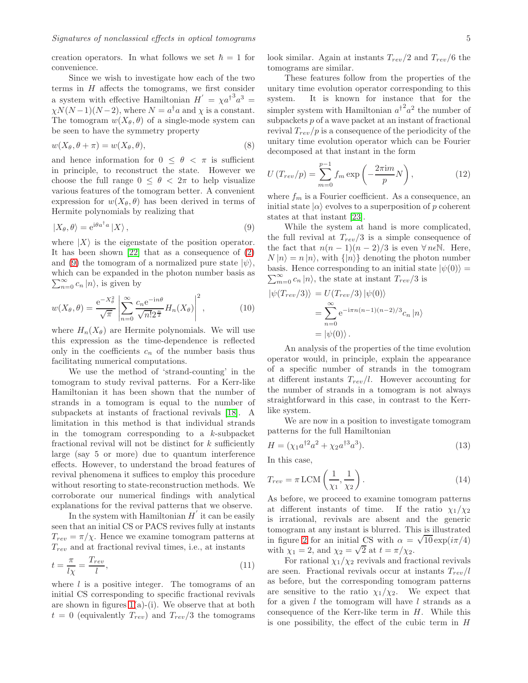creation operators. In what follows we set  $\hbar = 1$  for convenience.

Since we wish to investigate how each of the two terms in  $H$  affects the tomograms, we first consider a system with effective Hamiltonian  $H' = \chi a^{\dagger^3} a^3 =$  $\chi N(N-1)(N-2)$ , where  $N = a^{\dagger} a$  and  $\chi$  is a constant. The tomogram  $w(X_{\theta}, \theta)$  of a single-mode system can be seen to have the symmetry property

$$
w(X_{\theta}, \theta + \pi) = w(X_{\theta}, \theta), \tag{8}
$$

and hence information for  $0 \leq \theta < \pi$  is sufficient in principle, to reconstruct the state. However we choose the full range  $0 \leq \theta < 2\pi$  to help visualize various features of the tomogram better. A convenient expression for  $w(X_{\theta}, \theta)$  has been derived in terms of Hermite polynomials by realizing that

<span id="page-4-0"></span>
$$
|X_{\theta}, \theta \rangle = e^{i\theta a^{\dagger} a} |X \rangle, \qquad (9)
$$

where  $|X\rangle$  is the eigenstate of the position operator. It has been shown [\[22\]](#page-15-20) that as a consequence of [\(2\)](#page-2-0) and [\(9\)](#page-4-0) the tomogram of a normalized pure state  $|\psi\rangle$ , which can be expanded in the photon number basis as  $\sum_{n=0}^{\infty} c_n |n\rangle$ , is given by

<span id="page-4-1"></span>
$$
w(X_{\theta}, \theta) = \frac{e^{-X_{\theta}^2}}{\sqrt{\pi}} \left| \sum_{n=0}^{\infty} \frac{c_n e^{-in\theta}}{\sqrt{n! 2^{\frac{n}{2}}}} H_n(X_{\theta}) \right|^2, \qquad (10)
$$

where  $H_n(X_\theta)$  are Hermite polynomials. We will use this expression as the time-dependence is reflected only in the coefficients  $c_n$  of the number basis thus facilitating numerical computations.

We use the method of 'strand-counting' in the tomogram to study revival patterns. For a Kerr-like Hamiltonian it has been shown that the number of strands in a tomogram is equal to the number of subpackets at instants of fractional revivals [\[18\]](#page-15-16). A limitation in this method is that individual strands in the tomogram corresponding to a k-subpacket fractional revival will not be distinct for  $k$  sufficiently large (say 5 or more) due to quantum interference effects. However, to understand the broad features of revival phenomena it suffices to employ this procedure without resorting to state-reconstruction methods. We corroborate our numerical findings with analytical explanations for the revival patterns that we observe.

In the system with Hamiltonian  $H'$  it can be easily seen that an initial CS or PACS revives fully at instants  $T_{rev} = \pi / \chi$ . Hence we examine tomogram patterns at  $T_{rev}$  and at fractional revival times, i.e., at instants

$$
t = \frac{\pi}{l\chi} = \frac{T_{rev}}{l},\tag{11}
$$

where  $l$  is a positive integer. The tomograms of an initial CS corresponding to specific fractional revivals are shown in figures  $1(a)-(i)$ . We observe that at both  $t = 0$  (equivalently  $T_{rev}$ ) and  $T_{rev}/3$  the tomograms look similar. Again at instants  $T_{rev}/2$  and  $T_{rev}/6$  the tomograms are similar.

These features follow from the properties of the unitary time evolution operator corresponding to this system. It is known for instance that for the simpler system with Hamiltonian  $a^{\dagger^2} a^2$  the number of subpackets  $p$  of a wave packet at an instant of fractional revival  $T_{rev}/p$  is a consequence of the periodicity of the unitary time evolution operator which can be Fourier decomposed at that instant in the form

$$
U\left(T_{rev}/p\right) = \sum_{m=0}^{p-1} f_m \exp\left(-\frac{2\pi \mathrm{i} m}{p} N\right),\tag{12}
$$

where  $f_m$  is a Fourier coefficient. As a consequence, an initial state  $|\alpha\rangle$  evolves to a superposition of p coherent states at that instant [\[23\]](#page-15-21).

While the system at hand is more complicated, the full revival at  $T_{rev}/3$  is a simple consequence of the fact that  $n(n-1)(n-2)/3$  is even  $\forall n \in \mathbb{N}$ . Here,  $N |n\rangle = n |n\rangle$ , with  $\{|n\rangle\}$  denoting the photon number  $\sum_{m=0}^{\infty} c_n |n\rangle$ , the state at instant  $T_{rev}/3$  is basis. Hence corresponding to an initial state  $|\psi(0)\rangle =$ 

$$
\begin{aligned} \left| \psi(T_{rev}/3) \right\rangle &= U(T_{rev}/3) \left| \psi(0) \right\rangle \\ &= \sum_{n=0}^{\infty} e^{-i\pi n(n-1)(n-2)/3} c_n \left| n \right\rangle \\ &= \left| \psi(0) \right\rangle. \end{aligned}
$$

An analysis of the properties of the time evolution operator would, in principle, explain the appearance of a specific number of strands in the tomogram at different instants  $T_{rev}/l$ . However accounting for the number of strands in a tomogram is not always straightforward in this case, in contrast to the Kerrlike system.

We are now in a position to investigate tomogram patterns for the full Hamiltonian

$$
H = (\chi_1 a^{\dagger 2} a^2 + \chi_2 a^{\dagger 3} a^3). \tag{13}
$$

In this case,

$$
T_{rev} = \pi \, \text{LCM}\left(\frac{1}{\chi_1}, \frac{1}{\chi_2}\right). \tag{14}
$$

As before, we proceed to examine tomogram patterns at different instants of time. If the ratio  $\chi_1/\chi_2$ is irrational, revivals are absent and the generic tomogram at any instant is blurred. This is illustrated in figure [2](#page-5-1) for an initial CS with  $\alpha = \sqrt{10} \exp(i\pi/4)$ with  $\chi_1 = 2$ , and  $\chi_2 = \sqrt{2}$  at  $t = \pi/\chi_2$ .

For rational  $\chi_1/\chi_2$  revivals and fractional revivals are seen. Fractional revivals occur at instants  $T_{rev}/l$ as before, but the corresponding tomogram patterns are sensitive to the ratio  $\chi_1/\chi_2$ . We expect that for a given  $l$  the tomogram will have  $l$  strands as a consequence of the Kerr-like term in  $H$ . While this is one possibility, the effect of the cubic term in H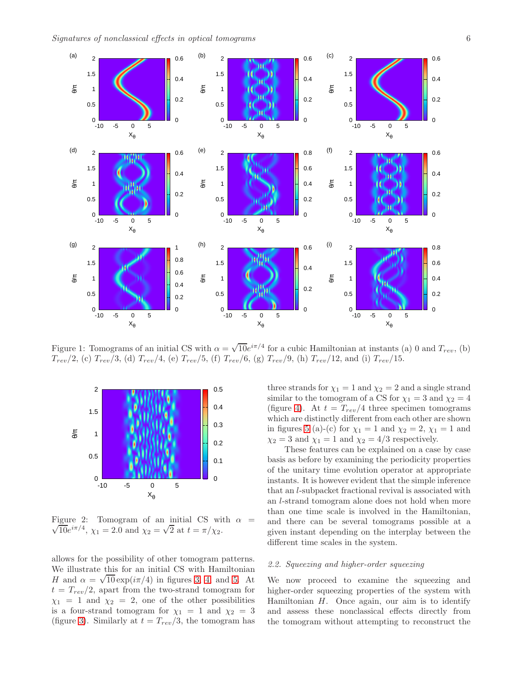<span id="page-5-0"></span>

Figure 1: Tomograms of an initial CS with  $\alpha = \sqrt{10}e^{i\pi/4}$  for a cubic Hamiltonian at instants (a) 0 and  $T_{rev}$ , (b)  $T_{rev}/2$ , (c)  $T_{rev}/3$ , (d)  $T_{rev}/4$ , (e)  $T_{rev}/5$ , (f)  $T_{rev}/6$ , (g)  $T_{rev}/9$ , (h)  $T_{rev}/12$ , and (i)  $T_{rev}/15$ .

<span id="page-5-1"></span>

Figure 2: Tomogram of an initial CS with  $\alpha =$  $\sqrt{10}e^{i\pi/4}$ ,  $\chi_1 = 2.0$  and  $\chi_2 = \sqrt{2}$  at  $t = \pi/\chi_2$ .

allows for the possibility of other tomogram patterns. We illustrate this for an initial CS with Hamiltonian H and  $\alpha = \sqrt{10} \exp(i\pi/4)$  in figures [3,](#page-6-0) [4,](#page-6-1) and [5.](#page-6-2) At  $t = T_{rev}/2$ , apart from the two-strand tomogram for  $\chi_1 = 1$  and  $\chi_2 = 2$ , one of the other possibilities is a four-strand tomogram for  $\chi_1 = 1$  and  $\chi_2 = 3$ (figure [3\)](#page-6-0). Similarly at  $t = T_{rev}/3$ , the tomogram has three strands for  $\chi_1 = 1$  and  $\chi_2 = 2$  and a single strand similar to the tomogram of a CS for  $\chi_1 = 3$  and  $\chi_2 = 4$ (figure [4\)](#page-6-1). At  $t = T_{rev}/4$  three specimen tomograms which are distinctly different from each other are shown in figures [5](#page-6-2) (a)-(c) for  $\chi_1 = 1$  and  $\chi_2 = 2$ ,  $\chi_1 = 1$  and  $\chi_2 = 3$  and  $\chi_1 = 1$  and  $\chi_2 = 4/3$  respectively.

These features can be explained on a case by case basis as before by examining the periodicity properties of the unitary time evolution operator at appropriate instants. It is however evident that the simple inference that an l-subpacket fractional revival is associated with an l-strand tomogram alone does not hold when more than one time scale is involved in the Hamiltonian, and there can be several tomograms possible at a given instant depending on the interplay between the different time scales in the system.

#### 2.2. Squeezing and higher-order squeezing

We now proceed to examine the squeezing and higher-order squeezing properties of the system with Hamiltonian  $H$ . Once again, our aim is to identify and assess these nonclassical effects directly from the tomogram without attempting to reconstruct the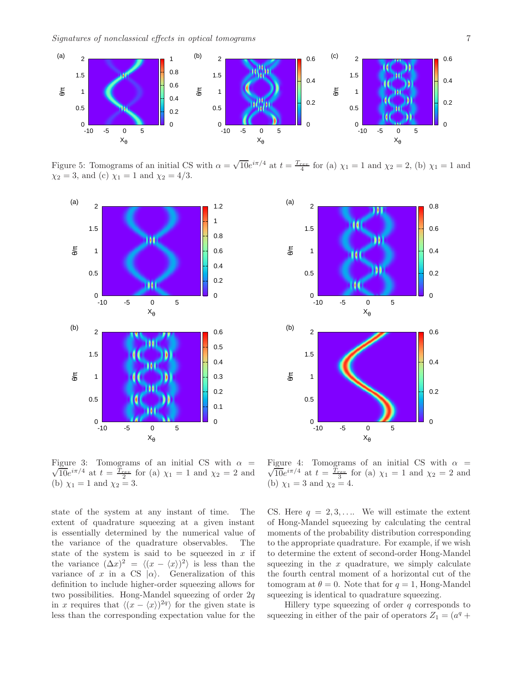<span id="page-6-2"></span>

Figure 5: Tomograms of an initial CS with  $\alpha = \sqrt{10}e^{i\pi/4}$  at  $t = \frac{T_{rev}}{4}$  for (a)  $\chi_1 = 1$  and  $\chi_2 = 2$ , (b)  $\chi_1 = 1$  and  $\chi_2 = 3$ , and (c)  $\chi_1 = 1$  and  $\chi_2 = 4/3$ .

<span id="page-6-0"></span>

<span id="page-6-1"></span>

Figure 3: Tomograms of an initial CS with  $\alpha =$  $\sqrt{10}e^{i\pi/4}$  at  $t = \frac{T_{rev}}{2}$  for (a)  $\chi_1 = 1$  and  $\chi_2 = 2$  and (b)  $\chi_1 = 1$  and  $\chi_2 = 3$ .

state of the system at any instant of time. The extent of quadrature squeezing at a given instant is essentially determined by the numerical value of the variance of the quadrature observables. The state of the system is said to be squeezed in  $x$  if the variance  $(\Delta x)^2 = \langle (x - \langle x \rangle)^2 \rangle$  is less than the variance of x in a CS  $|\alpha\rangle$ . Generalization of this definition to include higher-order squeezing allows for two possibilities. Hong-Mandel squeezing of order  $2q$ in x requires that  $\langle (x - \langle x \rangle)^{2q} \rangle$  for the given state is less than the corresponding expectation value for the

Figure 4: Tomograms of an initial CS with  $\alpha =$  $\sqrt{10}e^{i\pi/4}$  at  $t = \frac{T_{rev}}{3}$  for (a)  $\chi_1 = 1$  and  $\chi_2 = 2$  and (b)  $\chi_1 = 3$  and  $\chi_2 = 4$ .

CS. Here  $q = 2, 3, \ldots$  We will estimate the extent of Hong-Mandel squeezing by calculating the central moments of the probability distribution corresponding to the appropriate quadrature. For example, if we wish to determine the extent of second-order Hong-Mandel squeezing in the  $x$  quadrature, we simply calculate the fourth central moment of a horizontal cut of the tomogram at  $\theta = 0$ . Note that for  $q = 1$ , Hong-Mandel squeezing is identical to quadrature squeezing.

Hillery type squeezing of order  $q$  corresponds to squeezing in either of the pair of operators  $Z_1 = (a^q +$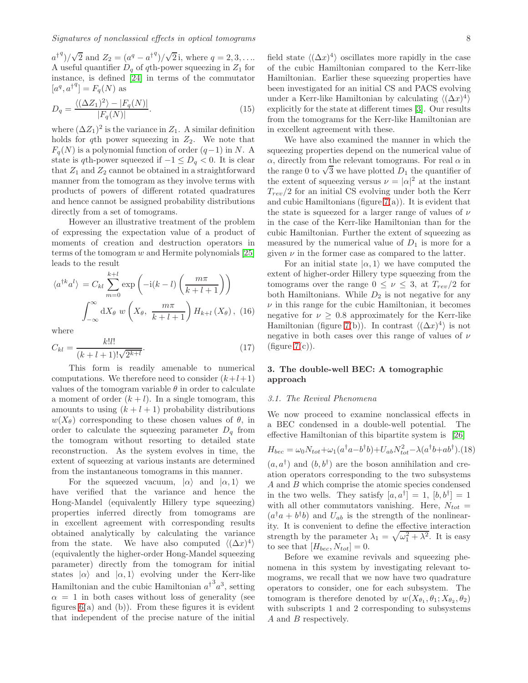$a^{\dagger q}$ / $\sqrt{2}$  and  $Z_2 = (a^q - a^{\dagger q})/\sqrt{2}$  i, where  $q = 2, 3, ...$ A useful quantifier  $D_q$  of qth-power squeezing in  $Z_1$  for instance, is defined [\[24\]](#page-15-22) in terms of the commutator  $[a^q, a^{\dagger q}] = F_q(N)$  as

$$
D_q = \frac{\langle (\Delta Z_1)^2 \rangle - |F_q(N)|}{|F_q(N)|}.
$$
\n(15)

where  $(\Delta Z_1)^2$  is the variance in  $Z_1$ . A similar definition holds for qth power squeezing in  $Z_2$ . We note that  $F_q(N)$  is a polynomial function of order  $(q-1)$  in N. A state is qth-power squeezed if  $-1 \le D_q < 0$ . It is clear that  $Z_1$  and  $Z_2$  cannot be obtained in a straightforward manner from the tomogram as they involve terms with products of powers of different rotated quadratures and hence cannot be assigned probability distributions directly from a set of tomograms.

However an illustrative treatment of the problem of expressing the expectation value of a product of moments of creation and destruction operators in terms of the tomogram  $w$  and Hermite polynomials [\[25\]](#page-15-23) leads to the result

$$
\langle a^{\dagger k} a^{l} \rangle = C_{kl} \sum_{m=0}^{k+l} \exp\left(-i(k-l)\left(\frac{m\pi}{k+l+1}\right)\right)
$$

$$
\int_{-\infty}^{\infty} dX_{\theta} w\left(X_{\theta}, \frac{m\pi}{k+l+1}\right) H_{k+l}(X_{\theta}), (16)
$$

where

$$
C_{kl} = \frac{k!l!}{(k+l+1)!\sqrt{2^{k+l}}}.
$$
\n(17)

This form is readily amenable to numerical computations. We therefore need to consider  $(k+l+1)$ values of the tomogram variable  $\theta$  in order to calculate a moment of order  $(k+l)$ . In a single tomogram, this amounts to using  $(k+l+1)$  probability distributions  $w(X_{\theta})$  corresponding to these chosen values of  $\theta$ , in order to calculate the squeezing parameter  $D_q$  from the tomogram without resorting to detailed state reconstruction. As the system evolves in time, the extent of squeezing at various instants are determined from the instantaneous tomograms in this manner.

For the squeezed vacuum,  $|\alpha\rangle$  and  $|\alpha, 1\rangle$  we have verified that the variance and hence the Hong-Mandel (equivalently Hillery type squeezing) properties inferred directly from tomograms are in excellent agreement with corresponding results obtained analytically by calculating the variance from the state. We have also computed  $\langle (\Delta x)^4 \rangle$ (equivalently the higher-order Hong-Mandel squeezing parameter) directly from the tomogram for initial states  $|\alpha\rangle$  and  $|\alpha, 1\rangle$  evolving under the Kerr-like Hamiltonian and the cubic Hamiltonian  $a^{\dagger}^3 a^3$ , setting  $\alpha = 1$  in both cases without loss of generality (see figures  $6(a)$  and  $(b)$ ). From these figures it is evident that independent of the precise nature of the initial

field state  $\langle (\Delta x)^4 \rangle$  oscillates more rapidly in the case of the cubic Hamiltonian compared to the Kerr-like Hamiltonian. Earlier these squeezing properties have been investigated for an initial CS and PACS evolving under a Kerr-like Hamiltonian by calculating  $\langle (\Delta x)^4 \rangle$ explicitly for the state at different times [\[3\]](#page-15-2). Our results from the tomograms for the Kerr-like Hamiltonian are in excellent agreement with these.

We have also examined the manner in which the squeezing properties depend on the numerical value of  $\alpha$ , directly from the relevant tomograms. For real  $\alpha$  in the range 0 to  $\sqrt{3}$  we have plotted  $D_1$  the quantifier of the extent of squeezing versus  $\nu = |\alpha|^2$  at the instant  $T_{rev}/2$  for an initial CS evolving under both the Kerr and cubic Hamiltonians (figure  $7(a)$ ). It is evident that the state is squeezed for a larger range of values of  $\nu$ in the case of the Kerr-like Hamiltonian than for the cubic Hamiltonian. Further the extent of squeezing as measured by the numerical value of  $D_1$  is more for a given  $\nu$  in the former case as compared to the latter.

For an initial state  $|\alpha, 1\rangle$  we have computed the extent of higher-order Hillery type squeezing from the tomograms over the range  $0 \leq \nu \leq 3$ , at  $T_{rev}/2$  for both Hamiltonians. While  $D_2$  is not negative for any  $\nu$  in this range for the cubic Hamiltonian, it becomes negative for  $\nu \geq 0.8$  approximately for the Kerr-like Hamiltonian (figure [7\(](#page-8-1)b)). In contrast  $\langle (\Delta x)^4 \rangle$  is not negative in both cases over this range of values of  $\nu$  $(figure 7(c)).$  $(figure 7(c)).$  $(figure 7(c)).$ 

# 3. The double-well BEC: A tomographic approach

#### 3.1. The Revival Phenomena

We now proceed to examine nonclassical effects in a BEC condensed in a double-well potential. The effective Hamiltonian of this bipartite system is [\[26\]](#page-15-24)

<span id="page-7-0"></span>
$$
H_{bec} = \omega_0 N_{tot} + \omega_1 (a^\dagger a - b^\dagger b) + U_{ab} N_{tot}^2 - \lambda (a^\dagger b + a b^\dagger). (18)
$$

 $(a, a^{\dagger})$  and  $(b, b^{\dagger})$  are the boson annihilation and creation operators corresponding to the two subsystems A and B which comprise the atomic species condensed in the two wells. They satisfy  $[a, a^{\dagger}] = 1$ ,  $[b, b^{\dagger}] = 1$ with all other commutators vanishing. Here,  $N_{tot}$  =  $(a^{\dagger}a + b^{\dagger}b)$  and  $U_{ab}$  is the strength of the nonlinearity. It is convenient to define the effective interaction strength by the parameter  $\lambda_1 = \sqrt{\omega_1^2 + \lambda^2}$ . It is easy to see that  $[H_{bec}, N_{tot}] = 0$ .

Before we examine revivals and squeezing phenomena in this system by investigating relevant tomograms, we recall that we now have two quadrature operators to consider, one for each subsystem. The tomogram is therefore denoted by  $w(X_{\theta_1}, \theta_1; X_{\theta_2}, \theta_2)$ with subscripts 1 and 2 corresponding to subsystems A and B respectively.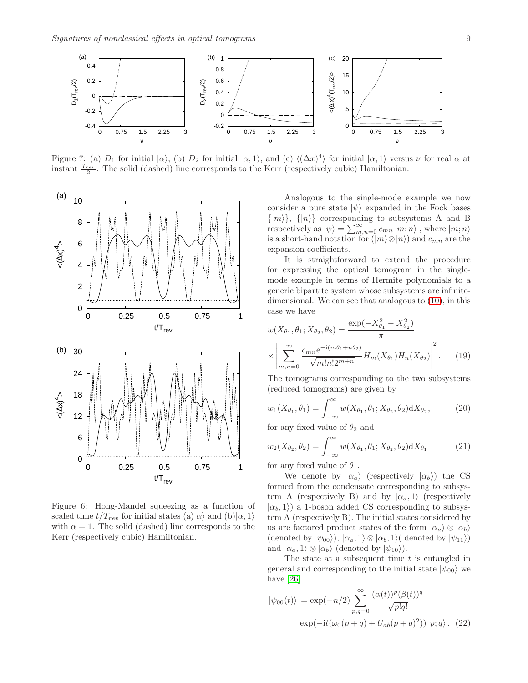<span id="page-8-1"></span>

Figure 7: (a)  $D_1$  for initial  $|\alpha\rangle$ , (b)  $D_2$  for initial  $|\alpha,1\rangle$ , and (c)  $\langle (\Delta x)^4 \rangle$  for initial  $|\alpha,1\rangle$  versus  $\nu$  for real  $\alpha$  at instant  $\frac{T_{rev}}{2}$ . The solid (dashed) line corresponds to the Kerr (respectively cubic) Hamiltonian.

<span id="page-8-0"></span>

Figure 6: Hong-Mandel squeezing as a function of scaled time  $t/T_{rev}$  for initial states (a)| $\alpha$  and (b)| $\alpha$ , 1) with  $\alpha = 1$ . The solid (dashed) line corresponds to the Kerr (respectively cubic) Hamiltonian.

Analogous to the single-mode example we now consider a pure state  $|\psi\rangle$  expanded in the Fock bases  $\{|m\rangle\}, \{|n\rangle\}$  corresponding to subsystems A and B respectively as  $|\psi\rangle = \sum_{m,n=0}^{\infty} c_{mn} |m;n\rangle$ , where  $|m;n\rangle$ is a short-hand notation for  $(|m\rangle \otimes |n\rangle)$  and  $c_{mn}$  are the expansion coefficients.

It is straightforward to extend the procedure for expressing the optical tomogram in the singlemode example in terms of Hermite polynomials to a generic bipartite system whose subsystems are infinitedimensional. We can see that analogous to [\(10\)](#page-4-1), in this case we have

$$
w(X_{\theta_1}, \theta_1; X_{\theta_2}, \theta_2) = \frac{\exp(-X_{\theta_1}^2 - X_{\theta_2}^2)}{\pi} \times \left| \sum_{m,n=0}^{\infty} \frac{c_{mn} e^{-i(m\theta_1 + n\theta_2)}}{\sqrt{m! n! 2^{m+n}}} H_m(X_{\theta_1}) H_n(X_{\theta_2}) \right|^2.
$$
 (19)

The tomograms corresponding to the two subsystems (reduced tomograms) are given by

$$
w_1(X_{\theta_1}, \theta_1) = \int_{-\infty}^{\infty} w(X_{\theta_1}, \theta_1; X_{\theta_2}, \theta_2) dX_{\theta_2}, \tag{20}
$$

for any fixed value of  $\theta_2$  and

$$
w_2(X_{\theta_2}, \theta_2) = \int_{-\infty}^{\infty} w(X_{\theta_1}, \theta_1; X_{\theta_2}, \theta_2) dX_{\theta_1}
$$
 (21)

for any fixed value of  $\theta_1$ .

We denote by  $|\alpha_a\rangle$  (respectively  $|\alpha_b\rangle$ ) the CS formed from the condensate corresponding to subsystem A (respectively B) and by  $|\alpha_a, 1\rangle$  (respectively  $|\alpha_b, 1\rangle$  a 1-boson added CS corresponding to subsystem A (respectively B). The initial states considered by us are factored product states of the form  $|\alpha_a\rangle \otimes |\alpha_b\rangle$ (denoted by  $|\psi_{00}\rangle$ ),  $|\alpha_a,1\rangle \otimes |\alpha_b,1\rangle$  denoted by  $|\psi_{11}\rangle$ ) and  $|\alpha_a, 1\rangle \otimes |\alpha_b\rangle$  (denoted by  $|\psi_{10}\rangle$ ).

The state at a subsequent time  $t$  is entangled in general and corresponding to the initial state  $|\psi_{00}\rangle$  we have [\[26\]](#page-15-24)

<span id="page-8-2"></span>
$$
|\psi_{00}(t)\rangle = \exp(-n/2) \sum_{p,q=0}^{\infty} \frac{(\alpha(t))^p (\beta(t))^q}{\sqrt{p!q!}} \exp(-it(\omega_0(p+q) + U_{ab}(p+q)^2)) |p;q\rangle. (22)
$$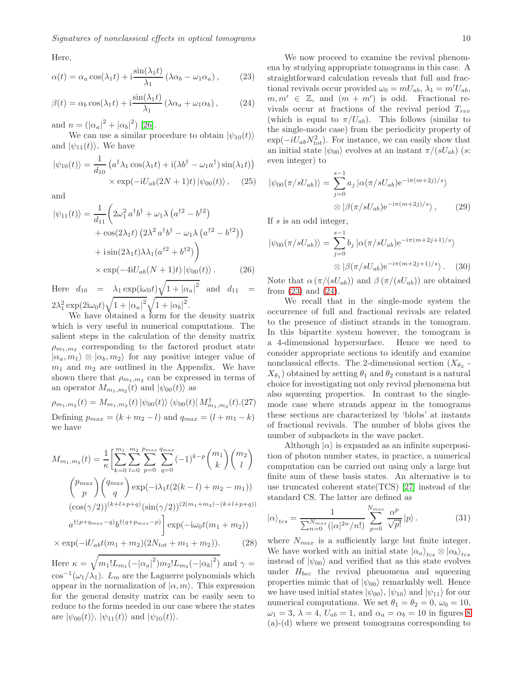Here,

<span id="page-9-0"></span>
$$
\alpha(t) = \alpha_a \cos(\lambda_1 t) + i \frac{\sin(\lambda_1 t)}{\lambda_1} (\lambda \alpha_b - \omega_1 \alpha_a), \quad (23)
$$

<span id="page-9-1"></span>
$$
\beta(t) = \alpha_b \cos(\lambda_1 t) + i \frac{\sin(\lambda_1 t)}{\lambda_1} (\lambda \alpha_a + \omega_1 \alpha_b), \quad (24)
$$

and  $n = (|\alpha_a|^2 + |\alpha_b|^2)$  [\[26\]](#page-15-24).

We can use a similar procedure to obtain  $|\psi_{10}(t)\rangle$ and  $|\psi_{11}(t)\rangle$ . We have

$$
|\psi_{10}(t)\rangle = \frac{1}{d_{10}} \left( a^{\dagger} \lambda_1 \cos(\lambda_1 t) + i(\lambda b^{\dagger} - \omega_1 a^{\dagger}) \sin(\lambda_1 t) \right) \times \exp(-iU_{ab}(2N+1)t) |\psi_{00}(t)\rangle, \quad (25)
$$

and

$$
|\psi_{11}(t)\rangle = \frac{1}{d_{11}} \left( 2\omega_1^2 a^\dagger b^\dagger + \omega_1 \lambda \left( a^{\dagger 2} - b^{\dagger 2} \right) + \cos(2\lambda_1 t) \left( 2\lambda^2 a^\dagger b^\dagger - \omega_1 \lambda \left( a^{\dagger 2} - b^{\dagger 2} \right) \right) + \mathrm{i} \sin(2\lambda_1 t) \lambda \lambda_1 (a^{\dagger 2} + b^{\dagger 2}) \right) \times \exp(-4\mathrm{i} U_{ab}(N+1)t) |\psi_{00}(t)\rangle. \tag{26}
$$

Here  $d_{10} = \lambda_1 \exp(i\omega_0 t) \sqrt{1 + |\alpha_a|^2}$  and  $d_{11} =$  $2\lambda_1^2 \exp(2\mathrm{i}\omega_0 t)\sqrt{1+|\alpha_a|^2}\sqrt{1+|\alpha_b|^2}.$ 

We have obtained a form for the density matrix which is very useful in numerical computations. The salient steps in the calculation of the density matrix  $\rho_{m_1,m_2}$  corresponding to the factored product state  $|\alpha_a, m_1\rangle \otimes |\alpha_b, m_2\rangle$  for any positive integer value of  $m_1$  and  $m_2$  are outlined in the Appendix. We have shown there that  $\rho_{m_1,m_2}$  can be expressed in terms of an operator  $M_{m_1,m_2}(t)$  and  $|\psi_{00}(t)\rangle$  as

 $\rho_{m_1,m_2}(t) = M_{m_1,m_2}(t) \left| \psi_{00}(t) \right\rangle \left\langle \psi_{00}(t) \right| M_{m_1,m_2}^{\dagger}(t)$ .(27) Defining  $p_{max} = (k + m_2 - l)$  and  $q_{max} = (l + m_1 - k)$ we have

$$
M_{m_1,m_2}(t) = \frac{1}{\kappa} \left[ \sum_{k=0}^{m_1} \sum_{l=0}^{m_2} \sum_{p=0}^{p_{max}} \sum_{q=0}^{q_{max}} (-1)^{k-p} \binom{m_1}{k} \binom{m_2}{l} \right]
$$

$$
\binom{p_{max}}{p} \binom{q_{max}}{q} \exp(-i\lambda_1 t (2(k-l) + m_2 - m_1))
$$

$$
(\cos(\gamma/2))^{(k+l+p+q)} (\sin(\gamma/2))^{(2(m_1+m_2)-(k+l+p+q))}
$$

$$
a^{\dagger (p+q_{max}-q)} b^{\dagger (q+p_{max}-p)} \right] \exp(-i\omega_0 t (m_1 + m_2))
$$

$$
\times \exp(-iU_{ab} t (m_1 + m_2) (2N_{tot} + m_1 + m_2)). \tag{28}
$$

Here  $\kappa = \sqrt{m_1! L_{m_1}(-|\alpha_a|^2) m_2! L_{m_2}(-|\alpha_b|^2)}$  and  $\gamma =$  $\cos^{-1}(\omega_1/\lambda_1)$ .  $L_m$  are the Laguerre polynomials which appear in the normalization of  $|\alpha, m\rangle$ . This expression for the general density matrix can be easily seen to reduce to the forms needed in our case where the states are  $|\psi_{00}(t)\rangle$ ,  $|\psi_{11}(t)\rangle$  and  $|\psi_{10}(t)\rangle$ .

We now proceed to examine the revival phenomena by studying appropriate tomograms in this case. A straightforward calculation reveals that full and fractional revivals occur provided  $\omega_0 = mU_{ab}$ ,  $\lambda_1 = m'U_{ab}$ ,  $m, m' \in \mathbb{Z}$ , and  $(m + m')$  is odd. Fractional revivals occur at fractions of the revival period  $T_{rev}$ (which is equal to  $\pi/U_{ab}$ ). This follows (similar to the single-mode case) from the periodicity property of  $\exp(-iU_{ab}N_{tot}^2)$ . For instance, we can easily show that an initial state  $|\psi_{00}\rangle$  evolves at an instant  $\pi/(sU_{ab})$  (s: even integer) to

$$
|\psi_{00}(\pi/sU_{ab})\rangle = \sum_{j=0}^{s-1} a_j |\alpha(\pi/sU_{ab})e^{-i\pi(m+2j)/s}\rangle
$$

$$
\otimes |\beta(\pi/sU_{ab})e^{-i\pi(m+2j)/s}\rangle, \qquad (29)
$$

If s is an odd integer,

$$
|\psi_{00}(\pi/sU_{ab})\rangle = \sum_{j=0}^{s-1} b_j |\alpha(\pi/sU_{ab})e^{-i\pi(m+2j+1)/s}\rangle
$$

$$
\otimes |\beta(\pi/sU_{ab})e^{-i\pi(m+2j+1)/s}\rangle. \quad (30)
$$

Note that  $\alpha \left( \frac{\pi}{sU_{ab}} \right)$  and  $\beta \left( \frac{\pi}{sU_{ab}} \right)$  are obtained from [\(23\)](#page-9-0) and [\(24\)](#page-9-1).

We recall that in the single-mode system the occurrence of full and fractional revivals are related to the presence of distinct strands in the tomogram. In this bipartite system however, the tomogram is a 4-dimensional hypersurface. Hence we need to consider appropriate sections to identify and examine nonclassical effects. The 2-dimensional section  $(X_{\theta_2}$  - $X_{\theta_1}$  obtained by setting  $\theta_1$  and  $\theta_2$  constant is a natural choice for investigating not only revival phenomena but also squeezing properties. In contrast to the singlemode case where strands appear in the tomograms these sections are characterized by 'blobs' at instants of fractional revivals. The number of blobs gives the number of subpackets in the wave packet.

Although  $|\alpha\rangle$  is expanded as an infinite superposition of photon number states, in practice, a numerical computation can be carried out using only a large but finite sum of these basis states. An alternative is to use truncated coherent state(TCS) [\[27\]](#page-15-25) instead of the standard CS. The latter are defined as

$$
|\alpha\rangle_{tcs} = \frac{1}{\sum_{n=0}^{N_{max}} (|\alpha|^{2n}/n!)} \sum_{p=0}^{N_{max}} \frac{\alpha^p}{\sqrt{p!}} |p\rangle.
$$
 (31)

where  $N_{max}$  is a sufficiently large but finite integer. We have worked with an initial state  $|\alpha_a\rangle_{tcs} \otimes |\alpha_b\rangle_{tcs}$ instead of  $|\psi_{00}\rangle$  and verified that as this state evolves under  $H_{bec}$  the revival phenomena and squeezing properties mimic that of  $|\psi_{00}\rangle$  remarkably well. Hence we have used initial states  $|\psi_{00}\rangle$ ,  $|\psi_{10}\rangle$  and  $|\psi_{11}\rangle$  for our numerical computations. We set  $\theta_1 = \theta_2 = 0$ ,  $\omega_0 = 10$ ,  $\omega_1 = 3, \lambda = 4, U_{ab} = 1, \text{ and } \alpha_a = \alpha_b = 10 \text{ in figures } 8$  $\omega_1 = 3, \lambda = 4, U_{ab} = 1, \text{ and } \alpha_a = \alpha_b = 10 \text{ in figures } 8$ (a)-(d) where we present tomograms corresponding to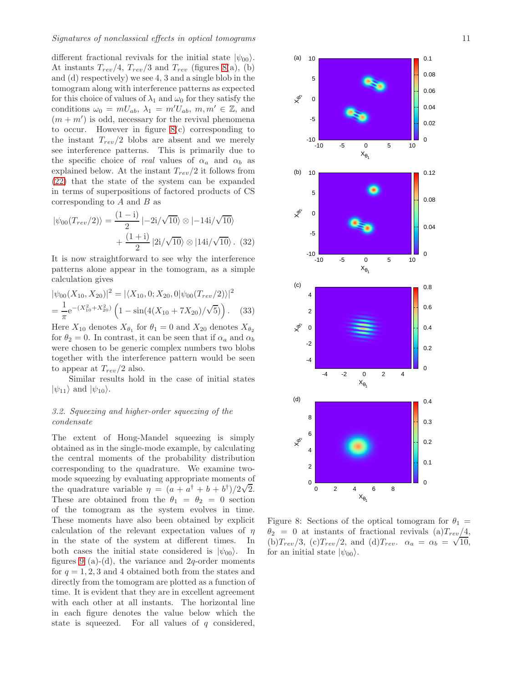different fractional revivals for the initial state  $|\psi_{00}\rangle$ . At instants  $T_{rev}/4$ ,  $T_{rev}/3$  and  $T_{rev}$  (figures [8\(](#page-10-0)a), (b) and (d) respectively) we see 4, 3 and a single blob in the tomogram along with interference patterns as expected for this choice of values of  $\lambda_1$  and  $\omega_0$  for they satisfy the conditions  $\omega_0 = mU_{ab}, \lambda_1 = m'U_{ab}, m, m' \in \mathbb{Z}$ , and  $(m + m')$  is odd, necessary for the revival phenomena to occur. However in figure [8\(](#page-10-0)c) corresponding to the instant  $T_{rev}/2$  blobs are absent and we merely see interference patterns. This is primarily due to the specific choice of real values of  $\alpha_a$  and  $\alpha_b$  as explained below. At the instant  $T_{rev}/2$  it follows from [\(22\)](#page-8-2) that the state of the system can be expanded in terms of superpositions of factored products of CS corresponding to  $A$  and  $B$  as

$$
|\psi_{00}(T_{rev}/2)\rangle = \frac{(1 - i)}{2} | -2i/\sqrt{10}\rangle \otimes |-14i/\sqrt{10}\rangle + \frac{(1 + i)}{2} |2i/\sqrt{10}\rangle \otimes |14i/\sqrt{10}\rangle. (32)
$$

It is now straightforward to see why the interference patterns alone appear in the tomogram, as a simple calculation gives

$$
|\psi_{00}(X_{10}, X_{20})|^2 = |\langle X_{10}, 0; X_{20}, 0|\psi_{00}(T_{rev}/2)\rangle|^2
$$
  
= 
$$
\frac{1}{\pi}e^{-(X_{10}^2 + X_{20}^2)} \left(1 - \sin(4(X_{10} + 7X_{20})/\sqrt{5})\right).
$$
 (33)

Here  $X_{10}$  denotes  $X_{\theta_1}$  for  $\theta_1 = 0$  and  $X_{20}$  denotes  $X_{\theta_2}$ for  $\theta_2 = 0$ . In contrast, it can be seen that if  $\alpha_a$  and  $\alpha_b$ were chosen to be generic complex numbers two blobs together with the interference pattern would be seen to appear at  $T_{rev}/2$  also.

Similar results hold in the case of initial states  $|\psi_{11}\rangle$  and  $|\psi_{10}\rangle$ .

# 3.2. Squeezing and higher-order squeezing of the condensate

The extent of Hong-Mandel squeezing is simply obtained as in the single-mode example, by calculating the central moments of the probability distribution corresponding to the quadrature. We examine twomode squeezing by evaluating appropriate moments of the quadrature variable  $\eta = (a + a^{\dagger} + b + b^{\dagger})/2\sqrt{2}$ . These are obtained from the  $\theta_1 = \theta_2 = 0$  section of the tomogram as the system evolves in time. These moments have also been obtained by explicit calculation of the relevant expectation values of  $\eta$ in the state of the system at different times. In both cases the initial state considered is  $|\psi_{00}\rangle$ . In figures [9](#page-11-0) (a)-(d), the variance and  $2q$ -order moments for  $q = 1, 2, 3$  and 4 obtained both from the states and directly from the tomogram are plotted as a function of time. It is evident that they are in excellent agreement with each other at all instants. The horizontal line in each figure denotes the value below which the state is squeezed. For all values of  $q$  considered,

<span id="page-10-0"></span>

Figure 8: Sections of the optical tomogram for  $\theta_1 =$  $\theta_2 = 0$  at instants of fractional revivals (a) $T_{rev}/4$ , (b)  $T_{rev}/3$ , (c)  $T_{rev}/2$ , and (d)  $T_{rev}$ .  $\alpha_a = \alpha_b = \sqrt{10}$ , for an initial state  $|\psi_{00}\rangle$ .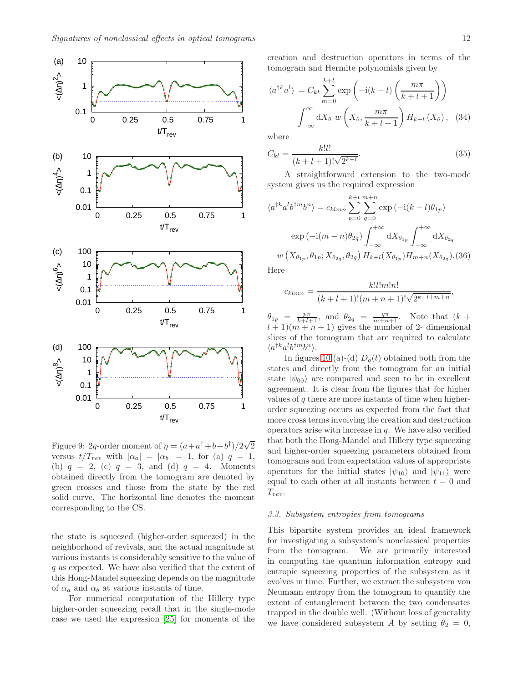<span id="page-11-0"></span>

Figure 9: 2q-order moment of  $\eta = (a + a^{\dagger} + b + b^{\dagger})/2\sqrt{2}$ versus  $t/T_{rev}$  with  $|\alpha_a| = |\alpha_b| = 1$ , for (a)  $q = 1$ , (b)  $q = 2$ , (c)  $q = 3$ , and (d)  $q = 4$ . Moments obtained directly from the tomogram are denoted by green crosses and those from the state by the red solid curve. The horizontal line denotes the moment corresponding to the CS.

the state is squeezed (higher-order squeezed) in the neighborhood of revivals, and the actual magnitude at various instants is considerably sensitive to the value of q as expected. We have also verified that the extent of this Hong-Mandel squeezing depends on the magnitude of  $\alpha_a$  and  $\alpha_b$  at various instants of time.

For numerical computation of the Hillery type higher-order squeezing recall that in the single-mode case we used the expression [\[25\]](#page-15-23) for moments of the creation and destruction operators in terms of the tomogram and Hermite polynomials given by

$$
\langle a^{\dagger k} a^{l} \rangle = C_{kl} \sum_{m=0}^{k+l} \exp\left(-i(k-l)\left(\frac{m\pi}{k+l+1}\right)\right)
$$

$$
\int_{-\infty}^{\infty} dX_{\theta} w\left(X_{\theta}, \frac{m\pi}{k+l+1}\right) H_{k+l}(X_{\theta}), \quad (34)
$$

where

$$
C_{kl} = \frac{k!l!}{(k+l+1)!\sqrt{2^{k+l}}}.
$$
\n(35)

A straightforward extension to the two-mode system gives us the required expression

$$
\langle a^{\dagger k} a^{l} b^{\dagger m} b^{n} \rangle = c_{klmn} \sum_{p=0}^{k+l} \sum_{q=0}^{m+n} \exp(-i(k-l)\theta_{1p})
$$
  
\n
$$
\exp(-i(m-n)\theta_{2q}) \int_{-\infty}^{+\infty} dX_{\theta_{1p}} \int_{-\infty}^{+\infty} dX_{\theta_{2q}}
$$
  
\n
$$
w(X_{\theta_{1p}}, \theta_{1p}; X_{\theta_{2q}}, \theta_{2q}) H_{k+l}(X_{\theta_{1p}}) H_{m+n}(X_{\theta_{2q}}). (36)
$$

Here

$$
c_{klmn} = \frac{k! l! m! n!}{(k+l+1)!(m+n+1)! \sqrt{2^{k+l+m+n}}},
$$

 $\theta_{1p} = \frac{p\pi}{k+l+1}$ , and  $\theta_{2q} = \frac{q\pi}{m+n+1}$ . Note that  $(k +$  $l + 1$  $(m + n + 1)$  gives the number of 2- dimensional slices of the tomogram that are required to calculate  $\langle a^{\dagger k}a^l b^{\dagger m}b^n \rangle.$ 

In figures [10](#page-12-0) (a)-(d)  $D_q(t)$  obtained both from the states and directly from the tomogram for an initial state  $|\psi_{00}\rangle$  are compared and seen to be in excellent agreement. It is clear from the figures that for higher values of  $q$  there are more instants of time when higherorder squeezing occurs as expected from the fact that more cross terms involving the creation and destruction operators arise with increase in  $q$ . We have also verified that both the Hong-Mandel and Hillery type squeezing and higher-order squeezing parameters obtained from tomograms and from expectation values of appropriate operators for the initial states  $|\psi_{10}\rangle$  and  $|\psi_{11}\rangle$  were equal to each other at all instants between  $t = 0$  and  $T_{rev}$ .

#### 3.3. Subsystem entropies from tomograms

This bipartite system provides an ideal framework for investigating a subsystem's nonclassical properties from the tomogram. We are primarily interested in computing the quantum information entropy and entropic squeezing properties of the subsystem as it evolves in time. Further, we extract the subsystem von Neumann entropy from the tomogram to quantify the extent of entanglement between the two condensates trapped in the double well. (Without loss of generality we have considered subsystem A by setting  $\theta_2 = 0$ ,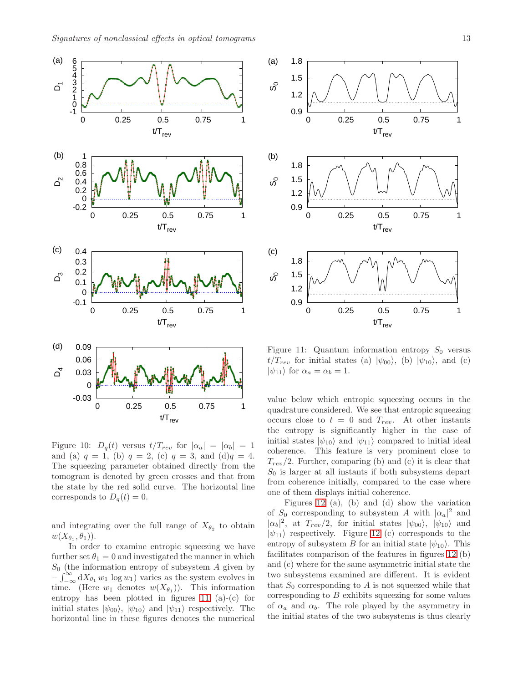<span id="page-12-0"></span>

Figure 10:  $D_q(t)$  versus  $t/T_{rev}$  for  $|\alpha_a| = |\alpha_b| = 1$ and (a)  $q = 1$ , (b)  $q = 2$ , (c)  $q = 3$ , and (d) $q = 4$ . The squeezing parameter obtained directly from the tomogram is denoted by green crosses and that from the state by the red solid curve. The horizontal line corresponds to  $D_q(t) = 0$ .

and integrating over the full range of  $X_{\theta_2}$  to obtain  $w(X_{\theta_1}, \theta_1)).$ 

In order to examine entropic squeezing we have further set  $\theta_1 = 0$  and investigated the manner in which  $S_0$  (the information entropy of subsystem A given by  $-\int_{-\infty}^{\infty} dX_{\theta_1} w_1 \log w_1$  varies as the system evolves in time. (Here  $w_1$  denotes  $w(X_{\theta_1})$ ). This information entropy has been plotted in figures [11](#page-12-1) (a)-(c) for initial states  $|\psi_{00}\rangle$ ,  $|\psi_{10}\rangle$  and  $|\psi_{11}\rangle$  respectively. The horizontal line in these figures denotes the numerical

<span id="page-12-1"></span>

Figure 11: Quantum information entropy  $S_0$  versus  $t/T_{rev}$  for initial states (a)  $|\psi_{00}\rangle$ , (b)  $|\psi_{10}\rangle$ , and (c)  $|\psi_{11}\rangle$  for  $\alpha_a = \alpha_b = 1$ .

value below which entropic squeezing occurs in the quadrature considered. We see that entropic squeezing occurs close to  $t = 0$  and  $T_{rev}$ . At other instants the entropy is significantly higher in the case of initial states  $|\psi_{10}\rangle$  and  $|\psi_{11}\rangle$  compared to initial ideal coherence. This feature is very prominent close to  $T_{rev}/2$ . Further, comparing (b) and (c) it is clear that  $S_0$  is larger at all instants if both subsystems depart from coherence initially, compared to the case where one of them displays initial coherence.

Figures [12](#page-13-0) (a), (b) and (d) show the variation of  $S_0$  corresponding to subsystem A with  $|\alpha_a|^2$  and  $|\alpha_b|^2$ , at  $T_{rev}/2$ , for initial states  $|\psi_{00}\rangle$ ,  $|\psi_{10}\rangle$  and  $|\psi_{11}\rangle$  respectively. Figure [12](#page-13-0) (c) corresponds to the entropy of subsystem B for an initial state  $|\psi_{10}\rangle$ . This facilitates comparison of the features in figures [12](#page-13-0) (b) and (c) where for the same asymmetric initial state the two subsystems examined are different. It is evident that  $S_0$  corresponding to A is not squeezed while that corresponding to  $B$  exhibits squeezing for some values of  $\alpha_a$  and  $\alpha_b$ . The role played by the asymmetry in the initial states of the two subsystems is thus clearly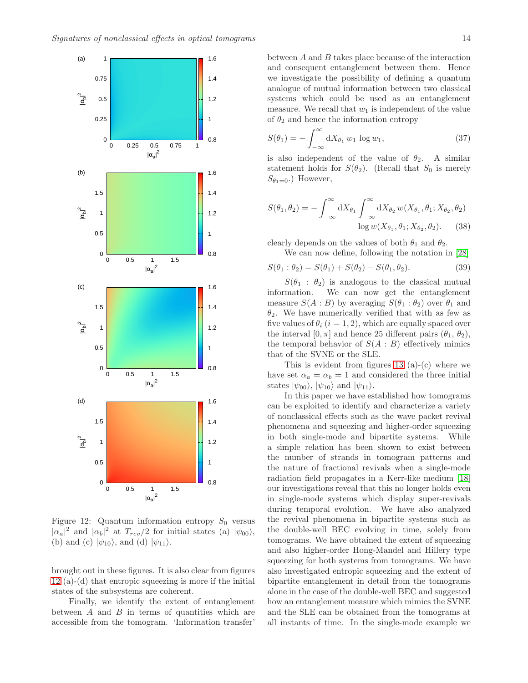<span id="page-13-0"></span>

Figure 12: Quantum information entropy  $S_0$  versus  $|\alpha_a|^2$  and  $|\alpha_b|^2$  at  $T_{rev}/2$  for initial states (a)  $|\psi_{00}\rangle$ , (b) and (c)  $|\psi_{10}\rangle$ , and (d)  $|\psi_{11}\rangle$ .

brought out in these figures. It is also clear from figures [12](#page-13-0) (a)-(d) that entropic squeezing is more if the initial states of the subsystems are coherent.

Finally, we identify the extent of entanglement between  $A$  and  $B$  in terms of quantities which are accessible from the tomogram. 'Information transfer'

between  $A$  and  $B$  takes place because of the interaction and consequent entanglement between them. Hence we investigate the possibility of defining a quantum analogue of mutual information between two classical systems which could be used as an entanglement measure. We recall that  $w_1$  is independent of the value of  $\theta_2$  and hence the information entropy

$$
S(\theta_1) = -\int_{-\infty}^{\infty} \mathrm{d}X_{\theta_1} w_1 \, \log w_1,\tag{37}
$$

is also independent of the value of  $\theta_2$ . A similar statement holds for  $S(\theta_2)$ . (Recall that  $S_0$  is merely  $S_{\theta_1=0}$ .) However,

$$
S(\theta_1, \theta_2) = -\int_{-\infty}^{\infty} dX_{\theta_1} \int_{-\infty}^{\infty} dX_{\theta_2} w(X_{\theta_1}, \theta_1; X_{\theta_2}, \theta_2)
$$

$$
\log w(X_{\theta_1}, \theta_1; X_{\theta_2}, \theta_2).
$$
 (38)

clearly depends on the values of both  $\theta_1$  and  $\theta_2$ . We can now define, following the notation in [\[28\]](#page-15-26)

$$
S(\theta_1 : \theta_2) = S(\theta_1) + S(\theta_2) - S(\theta_1, \theta_2).
$$
 (39)

 $S(\theta_1 : \theta_2)$  is analogous to the classical mutual information. We can now get the entanglement measure  $S(A : B)$  by averaging  $S(\theta_1 : \theta_2)$  over  $\theta_1$  and  $\theta_2$ . We have numerically verified that with as few as five values of  $\theta_i$  (i = 1, 2), which are equally spaced over the interval  $[0, \pi]$  and hence 25 different pairs  $(\theta_1, \theta_2)$ , the temporal behavior of  $S(A : B)$  effectively mimics that of the SVNE or the SLE.

This is evident from figures [13](#page-14-0)  $(a)-(c)$  where we have set  $\alpha_a = \alpha_b = 1$  and considered the three initial states  $|\psi_{00}\rangle$ ,  $|\psi_{10}\rangle$  and  $|\psi_{11}\rangle$ .

In this paper we have established how tomograms can be exploited to identify and characterize a variety of nonclassical effects such as the wave packet revival phenomena and squeezing and higher-order squeezing in both single-mode and bipartite systems. While a simple relation has been shown to exist between the number of strands in tomogram patterns and the nature of fractional revivals when a single-mode radiation field propagates in a Kerr-like medium [\[18\]](#page-15-16) our investigations reveal that this no longer holds even in single-mode systems which display super-revivals during temporal evolution. We have also analyzed the revival phenomena in bipartite systems such as the double-well BEC evolving in time, solely from tomograms. We have obtained the extent of squeezing and also higher-order Hong-Mandel and Hillery type squeezing for both systems from tomograms. We have also investigated entropic squeezing and the extent of bipartite entanglement in detail from the tomograms alone in the case of the double-well BEC and suggested how an entanglement measure which mimics the SVNE and the SLE can be obtained from the tomograms at all instants of time. In the single-mode example we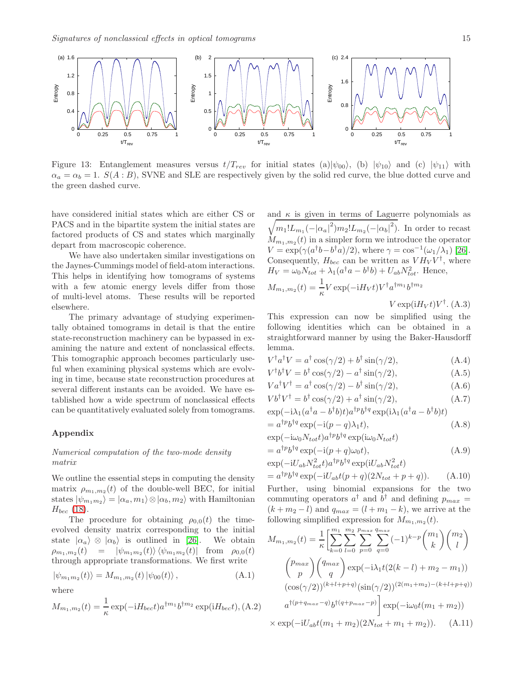<span id="page-14-0"></span>

Figure 13: Entanglement measures versus  $t/T_{rev}$  for initial states (a)| $|\psi_{00}\rangle$ , (b)  $|\psi_{10}\rangle$  and (c)  $|\psi_{11}\rangle$  with  $\alpha_a = \alpha_b = 1$ .  $S(A : B)$ , SVNE and SLE are respectively given by the solid red curve, the blue dotted curve and the green dashed curve.

have considered initial states which are either CS or PACS and in the bipartite system the initial states are factored products of CS and states which marginally depart from macroscopic coherence.

We have also undertaken similar investigations on the Jaynes-Cummings model of field-atom interactions. This helps in identifying how tomograms of systems with a few atomic energy levels differ from those of multi-level atoms. These results will be reported elsewhere.

The primary advantage of studying experimentally obtained tomograms in detail is that the entire state-reconstruction machinery can be bypassed in examining the nature and extent of nonclassical effects. This tomographic approach becomes particularly useful when examining physical systems which are evolving in time, because state reconstruction procedures at several different instants can be avoided. We have established how a wide spectrum of nonclassical effects can be quantitatively evaluated solely from tomograms.

### Appendix

#### Numerical computation of the two-mode density matrix

We outline the essential steps in computing the density matrix  $\rho_{m_1,m_2}(t)$  of the double-well BEC, for initial states  $|\psi_{m_1m_2}\rangle = |\alpha_a, m_1\rangle \otimes |\alpha_b, m_2\rangle$  with Hamiltonian  $H_{bec}$  [\(18\)](#page-7-0).

The procedure for obtaining  $\rho_{0,0}(t)$  the timeevolved density matrix corresponding to the initial state  $|\alpha_a\rangle \otimes |\alpha_b\rangle$  is outlined in [\[26\]](#page-15-24). We obtain  $\rho_{m_1,m_2}(t) = |\psi_{m_1m_2}(t)\rangle \langle \psi_{m_1m_2}(t)|$  from  $\rho_{0,0}(t)$ through appropriate transformations. We first write

$$
|\psi_{m_1m_2}(t)\rangle = M_{m_1,m_2}(t) |\psi_{00}(t)\rangle, \qquad (A.1)
$$

where

$$
M_{m_1,m_2}(t) = \frac{1}{\kappa} \exp(-iH_{beck})a^{\dagger m_1}b^{\dagger m_2} \exp(iH_{beck}), (A.2)
$$

and  $\kappa$  is given in terms of Laguerre polynomials as  $\sqrt{m_1!L_{m_1}(-|\alpha_a|^2)m_2!L_{m_2}(-|\alpha_b|^2)}$ . In order to recast  $M_{m_1,m_2}(t)$  in a simpler form we introduce the operator  $V = \exp(\gamma(a^{\dagger}b - b^{\dagger}a)/2), \text{ where } \gamma = \cos^{-1}(\omega_1/\lambda_1)$  [\[26\]](#page-15-24). Consequently,  $H_{bec}$  can be written as  $V H_V V^{\dagger}$ , where  $H_V = \omega_0 N_{tot} + \lambda_1 (a^\dagger a - b^\dagger b) + U_{ab} N_{tot}^2$ . Hence,  $M_{m_1,m_2}(t) = \frac{1}{\kappa} V \exp(-iH_V t) V^{\dagger} a^{\dagger m_1} b^{\dagger m_2}$  $V \exp(iH_V t) V^{\dagger}$ . (A.3)

This expression can now be simplified using the following identities which can be obtained in a straightforward manner by using the Baker-Hausdorff lemma.

$$
V^{\dagger}a^{\dagger}V = a^{\dagger}\cos(\gamma/2) + b^{\dagger}\sin(\gamma/2), \tag{A.4}
$$

$$
V^{\dagger}b^{\dagger}V = b^{\dagger}\cos(\gamma/2) - a^{\dagger}\sin(\gamma/2), \tag{A.5}
$$

$$
Va^{\dagger}V^{\dagger} = a^{\dagger}\cos(\gamma/2) - b^{\dagger}\sin(\gamma/2),\tag{A.6}
$$

$$
Vb^{\dagger}V^{\dagger} = b^{\dagger}\cos(\gamma/2) + a^{\dagger}\sin(\gamma/2),\tag{A.7}
$$
  
\n
$$
\exp(-\mathbf{i}) \cdot (a^{\dagger}a - b^{\dagger}b)^{\dagger} \cdot a^{\dagger}b^{\dagger}a \cdot \exp(\mathbf{i}) \cdot (a^{\dagger}a - b^{\dagger}b)^{\dagger})
$$

$$
\exp(-i\lambda_1(a^{\dagger}a - b^{\dagger}b)t)a^{\dagger p}b^{\dagger q}\exp(i\lambda_1(a^{\dagger}a - b^{\dagger}b)t)
$$
  
=  $a^{\dagger p}b^{\dagger q}\exp(-i(p-q)\lambda_1t)$ , (A.8)

$$
\exp(-\mathrm{i}\omega_0 N_{tot}t)a^{\dagger p}b^{\dagger q}\exp(\mathrm{i}\omega_0 N_{tot}t)
$$

$$
= a^{\dagger p} b^{\dagger q} \exp(-i(p+q)\omega_0 t),
$$
  
\n
$$
\exp(-iU_{ab} N_{tot}^2 t) a^{\dagger p} b^{\dagger q} \exp(iU_{ab} N_{tot}^2 t)
$$
\n(A.9)

$$
= a^{\dagger p} b^{\dagger q} \exp(-iU_{ab}t(p+q)(2N_{tot}+p+q)). \tag{A.10}
$$

Further, using binomial expansions for the two commuting operators  $a^{\dagger}$  and  $b^{\dagger}$  and defining  $p_{max}$  =  $(k + m<sub>2</sub> - l)$  and  $q<sub>max</sub> = (l + m<sub>1</sub> - k)$ , we arrive at the following simplified expression for  $M_{m_1,m_2}(t)$ .

$$
M_{m_1,m_2}(t) = \frac{1}{\kappa} \left[ \sum_{k=0}^{m_1} \sum_{l=0}^{m_2} \sum_{p=0}^{p_{max}} \sum_{q=0}^{q_{max}} (-1)^{k-p} \binom{m_1}{k} \binom{m_2}{l} \right]
$$

$$
\binom{p_{max}}{p} \binom{q_{max}}{q} \exp(-i\lambda_1 t(2(k-l) + m_2 - m_1))
$$

$$
(\cos(\gamma/2))^{(k+l+p+q)} (\sin(\gamma/2))^{(2(m_1+m_2)-(k+l+p+q))}
$$

$$
a^{\dagger(p+q_{max}-q)} b^{\dagger(q+p_{max}-p)} \right] \exp(-i\omega_0 t(m_1 + m_2))
$$

$$
\times \exp(-iU_{ab}t(m_1 + m_2)(2N_{tot} + m_1 + m_2)). \quad (A.11)
$$